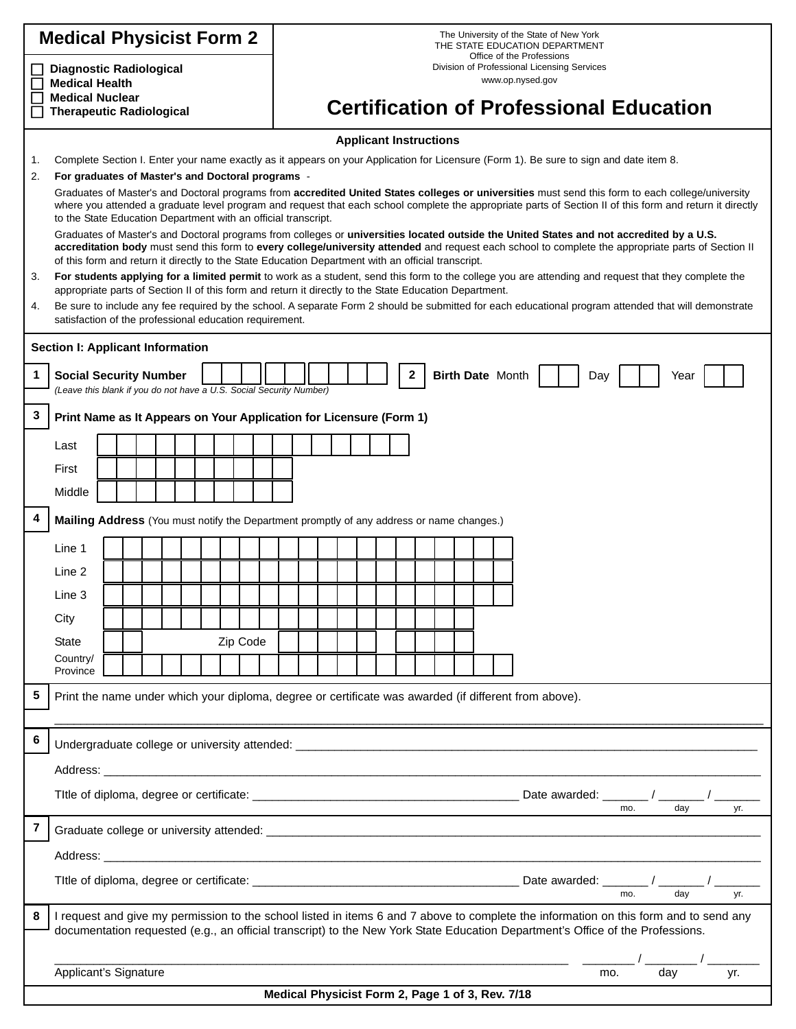| <b>Medical Physicist Form 2</b>                                                   |                                                                                                                                                                                                                                                                                                                                                                                                       |  |  |  |  |  |  |                                                |                                                                                              | The University of the State of New York<br>THE STATE EDUCATION DEPARTMENT |  |  |  |  |  |   |  |                         |  |  |  |  |  |     |  |  |      |     |     |  |     |
|-----------------------------------------------------------------------------------|-------------------------------------------------------------------------------------------------------------------------------------------------------------------------------------------------------------------------------------------------------------------------------------------------------------------------------------------------------------------------------------------------------|--|--|--|--|--|--|------------------------------------------------|----------------------------------------------------------------------------------------------|---------------------------------------------------------------------------|--|--|--|--|--|---|--|-------------------------|--|--|--|--|--|-----|--|--|------|-----|-----|--|-----|
| <b>Diagnostic Radiological</b><br><b>Medical Health</b><br><b>Medical Nuclear</b> |                                                                                                                                                                                                                                                                                                                                                                                                       |  |  |  |  |  |  |                                                | Office of the Professions<br>Division of Professional Licensing Services<br>www.op.nysed.gov |                                                                           |  |  |  |  |  |   |  |                         |  |  |  |  |  |     |  |  |      |     |     |  |     |
| <b>Therapeutic Radiological</b>                                                   |                                                                                                                                                                                                                                                                                                                                                                                                       |  |  |  |  |  |  | <b>Certification of Professional Education</b> |                                                                                              |                                                                           |  |  |  |  |  |   |  |                         |  |  |  |  |  |     |  |  |      |     |     |  |     |
|                                                                                   | <b>Applicant Instructions</b>                                                                                                                                                                                                                                                                                                                                                                         |  |  |  |  |  |  |                                                |                                                                                              |                                                                           |  |  |  |  |  |   |  |                         |  |  |  |  |  |     |  |  |      |     |     |  |     |
| 1.<br>2.                                                                          | Complete Section I. Enter your name exactly as it appears on your Application for Licensure (Form 1). Be sure to sign and date item 8.<br>For graduates of Master's and Doctoral programs -                                                                                                                                                                                                           |  |  |  |  |  |  |                                                |                                                                                              |                                                                           |  |  |  |  |  |   |  |                         |  |  |  |  |  |     |  |  |      |     |     |  |     |
|                                                                                   | Graduates of Master's and Doctoral programs from accredited United States colleges or universities must send this form to each college/university                                                                                                                                                                                                                                                     |  |  |  |  |  |  |                                                |                                                                                              |                                                                           |  |  |  |  |  |   |  |                         |  |  |  |  |  |     |  |  |      |     |     |  |     |
|                                                                                   | where you attended a graduate level program and request that each school complete the appropriate parts of Section II of this form and return it directly<br>to the State Education Department with an official transcript.                                                                                                                                                                           |  |  |  |  |  |  |                                                |                                                                                              |                                                                           |  |  |  |  |  |   |  |                         |  |  |  |  |  |     |  |  |      |     |     |  |     |
|                                                                                   | Graduates of Master's and Doctoral programs from colleges or universities located outside the United States and not accredited by a U.S.<br>accreditation body must send this form to every college/university attended and request each school to complete the appropriate parts of Section II<br>of this form and return it directly to the State Education Department with an official transcript. |  |  |  |  |  |  |                                                |                                                                                              |                                                                           |  |  |  |  |  |   |  |                         |  |  |  |  |  |     |  |  |      |     |     |  |     |
| 3.                                                                                | For students applying for a limited permit to work as a student, send this form to the college you are attending and request that they complete the                                                                                                                                                                                                                                                   |  |  |  |  |  |  |                                                |                                                                                              |                                                                           |  |  |  |  |  |   |  |                         |  |  |  |  |  |     |  |  |      |     |     |  |     |
| 4.                                                                                | appropriate parts of Section II of this form and return it directly to the State Education Department.<br>Be sure to include any fee required by the school. A separate Form 2 should be submitted for each educational program attended that will demonstrate                                                                                                                                        |  |  |  |  |  |  |                                                |                                                                                              |                                                                           |  |  |  |  |  |   |  |                         |  |  |  |  |  |     |  |  |      |     |     |  |     |
|                                                                                   | satisfaction of the professional education requirement.                                                                                                                                                                                                                                                                                                                                               |  |  |  |  |  |  |                                                |                                                                                              |                                                                           |  |  |  |  |  |   |  |                         |  |  |  |  |  |     |  |  |      |     |     |  |     |
|                                                                                   | Section I: Applicant Information                                                                                                                                                                                                                                                                                                                                                                      |  |  |  |  |  |  |                                                |                                                                                              |                                                                           |  |  |  |  |  |   |  |                         |  |  |  |  |  |     |  |  |      |     |     |  |     |
| 1                                                                                 | <b>Social Security Number</b>                                                                                                                                                                                                                                                                                                                                                                         |  |  |  |  |  |  |                                                |                                                                                              |                                                                           |  |  |  |  |  | 2 |  | <b>Birth Date Month</b> |  |  |  |  |  | Day |  |  | Year |     |     |  |     |
|                                                                                   | (Leave this blank if you do not have a U.S. Social Security Number)                                                                                                                                                                                                                                                                                                                                   |  |  |  |  |  |  |                                                |                                                                                              |                                                                           |  |  |  |  |  |   |  |                         |  |  |  |  |  |     |  |  |      |     |     |  |     |
| 3                                                                                 | Print Name as It Appears on Your Application for Licensure (Form 1)                                                                                                                                                                                                                                                                                                                                   |  |  |  |  |  |  |                                                |                                                                                              |                                                                           |  |  |  |  |  |   |  |                         |  |  |  |  |  |     |  |  |      |     |     |  |     |
|                                                                                   | Last                                                                                                                                                                                                                                                                                                                                                                                                  |  |  |  |  |  |  |                                                |                                                                                              |                                                                           |  |  |  |  |  |   |  |                         |  |  |  |  |  |     |  |  |      |     |     |  |     |
|                                                                                   | First                                                                                                                                                                                                                                                                                                                                                                                                 |  |  |  |  |  |  |                                                |                                                                                              |                                                                           |  |  |  |  |  |   |  |                         |  |  |  |  |  |     |  |  |      |     |     |  |     |
|                                                                                   | Middle                                                                                                                                                                                                                                                                                                                                                                                                |  |  |  |  |  |  |                                                |                                                                                              |                                                                           |  |  |  |  |  |   |  |                         |  |  |  |  |  |     |  |  |      |     |     |  |     |
| 4                                                                                 | Mailing Address (You must notify the Department promptly of any address or name changes.)                                                                                                                                                                                                                                                                                                             |  |  |  |  |  |  |                                                |                                                                                              |                                                                           |  |  |  |  |  |   |  |                         |  |  |  |  |  |     |  |  |      |     |     |  |     |
|                                                                                   | Line 1                                                                                                                                                                                                                                                                                                                                                                                                |  |  |  |  |  |  |                                                |                                                                                              |                                                                           |  |  |  |  |  |   |  |                         |  |  |  |  |  |     |  |  |      |     |     |  |     |
|                                                                                   | Line 2                                                                                                                                                                                                                                                                                                                                                                                                |  |  |  |  |  |  |                                                |                                                                                              |                                                                           |  |  |  |  |  |   |  |                         |  |  |  |  |  |     |  |  |      |     |     |  |     |
|                                                                                   | Line 3                                                                                                                                                                                                                                                                                                                                                                                                |  |  |  |  |  |  |                                                |                                                                                              |                                                                           |  |  |  |  |  |   |  |                         |  |  |  |  |  |     |  |  |      |     |     |  |     |
|                                                                                   | City                                                                                                                                                                                                                                                                                                                                                                                                  |  |  |  |  |  |  |                                                |                                                                                              |                                                                           |  |  |  |  |  |   |  |                         |  |  |  |  |  |     |  |  |      |     |     |  |     |
| Zip Code<br><b>State</b>                                                          |                                                                                                                                                                                                                                                                                                                                                                                                       |  |  |  |  |  |  |                                                |                                                                                              |                                                                           |  |  |  |  |  |   |  |                         |  |  |  |  |  |     |  |  |      |     |     |  |     |
|                                                                                   | Country/<br>Province                                                                                                                                                                                                                                                                                                                                                                                  |  |  |  |  |  |  |                                                |                                                                                              |                                                                           |  |  |  |  |  |   |  |                         |  |  |  |  |  |     |  |  |      |     |     |  |     |
| 5                                                                                 | Print the name under which your diploma, degree or certificate was awarded (if different from above).                                                                                                                                                                                                                                                                                                 |  |  |  |  |  |  |                                                |                                                                                              |                                                                           |  |  |  |  |  |   |  |                         |  |  |  |  |  |     |  |  |      |     |     |  |     |
|                                                                                   |                                                                                                                                                                                                                                                                                                                                                                                                       |  |  |  |  |  |  |                                                |                                                                                              |                                                                           |  |  |  |  |  |   |  |                         |  |  |  |  |  |     |  |  |      |     |     |  |     |
| 6                                                                                 |                                                                                                                                                                                                                                                                                                                                                                                                       |  |  |  |  |  |  |                                                |                                                                                              |                                                                           |  |  |  |  |  |   |  |                         |  |  |  |  |  |     |  |  |      |     |     |  |     |
|                                                                                   |                                                                                                                                                                                                                                                                                                                                                                                                       |  |  |  |  |  |  |                                                |                                                                                              |                                                                           |  |  |  |  |  |   |  |                         |  |  |  |  |  |     |  |  |      |     |     |  |     |
|                                                                                   |                                                                                                                                                                                                                                                                                                                                                                                                       |  |  |  |  |  |  |                                                |                                                                                              |                                                                           |  |  |  |  |  |   |  |                         |  |  |  |  |  |     |  |  |      |     |     |  |     |
|                                                                                   | day<br>yr.<br>mo.                                                                                                                                                                                                                                                                                                                                                                                     |  |  |  |  |  |  |                                                |                                                                                              |                                                                           |  |  |  |  |  |   |  |                         |  |  |  |  |  |     |  |  |      |     |     |  |     |
| 7                                                                                 |                                                                                                                                                                                                                                                                                                                                                                                                       |  |  |  |  |  |  |                                                |                                                                                              |                                                                           |  |  |  |  |  |   |  |                         |  |  |  |  |  |     |  |  |      |     |     |  |     |
|                                                                                   |                                                                                                                                                                                                                                                                                                                                                                                                       |  |  |  |  |  |  |                                                |                                                                                              |                                                                           |  |  |  |  |  |   |  |                         |  |  |  |  |  |     |  |  |      |     |     |  |     |
|                                                                                   |                                                                                                                                                                                                                                                                                                                                                                                                       |  |  |  |  |  |  |                                                |                                                                                              |                                                                           |  |  |  |  |  |   |  |                         |  |  |  |  |  |     |  |  |      | mo. | dav |  | yr. |
| 8                                                                                 | I request and give my permission to the school listed in items 6 and 7 above to complete the information on this form and to send any                                                                                                                                                                                                                                                                 |  |  |  |  |  |  |                                                |                                                                                              |                                                                           |  |  |  |  |  |   |  |                         |  |  |  |  |  |     |  |  |      |     |     |  |     |
|                                                                                   | documentation requested (e.g., an official transcript) to the New York State Education Department's Office of the Professions.                                                                                                                                                                                                                                                                        |  |  |  |  |  |  |                                                |                                                                                              |                                                                           |  |  |  |  |  |   |  |                         |  |  |  |  |  |     |  |  |      |     |     |  |     |
|                                                                                   |                                                                                                                                                                                                                                                                                                                                                                                                       |  |  |  |  |  |  |                                                |                                                                                              |                                                                           |  |  |  |  |  |   |  |                         |  |  |  |  |  |     |  |  |      |     |     |  |     |
|                                                                                   | Applicant's Signature                                                                                                                                                                                                                                                                                                                                                                                 |  |  |  |  |  |  |                                                |                                                                                              |                                                                           |  |  |  |  |  |   |  |                         |  |  |  |  |  |     |  |  | mo.  |     | day |  | yr. |
| Medical Physicist Form 2, Page 1 of 3, Rev. 7/18                                  |                                                                                                                                                                                                                                                                                                                                                                                                       |  |  |  |  |  |  |                                                |                                                                                              |                                                                           |  |  |  |  |  |   |  |                         |  |  |  |  |  |     |  |  |      |     |     |  |     |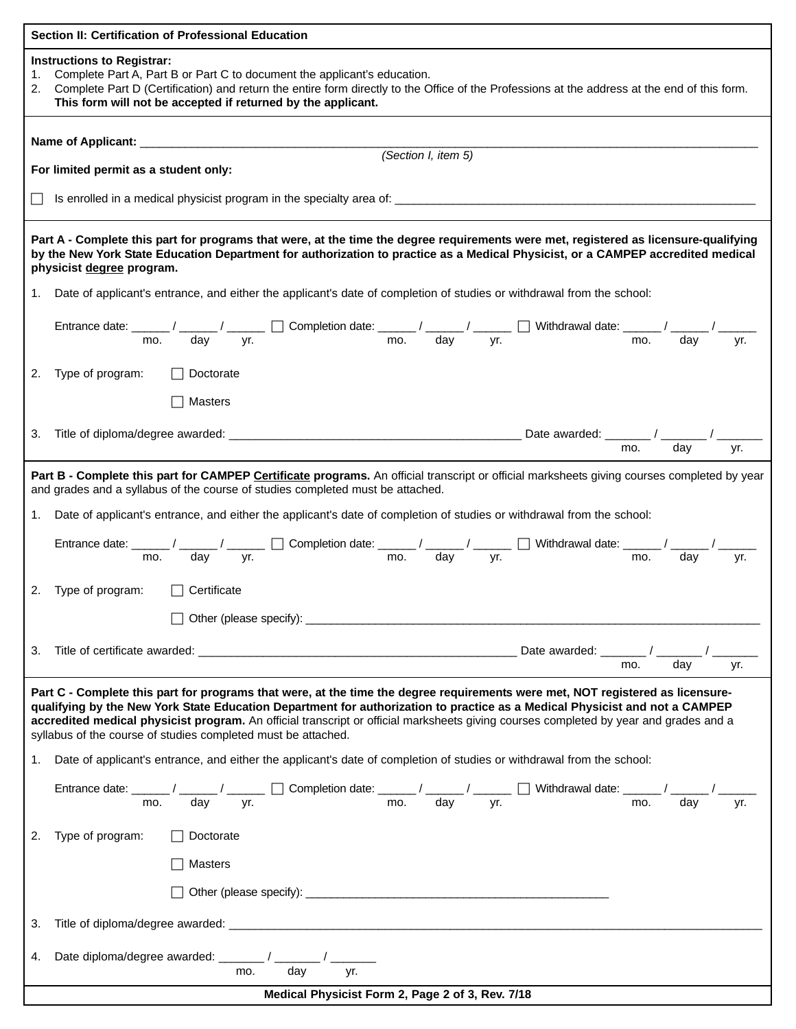| Section II: Certification of Professional Education                                                                                                                                                                                                                                                                                                                                                                                                                     |  |  |  |  |  |  |  |  |  |  |  |
|-------------------------------------------------------------------------------------------------------------------------------------------------------------------------------------------------------------------------------------------------------------------------------------------------------------------------------------------------------------------------------------------------------------------------------------------------------------------------|--|--|--|--|--|--|--|--|--|--|--|
| <b>Instructions to Registrar:</b><br>Complete Part A, Part B or Part C to document the applicant's education.<br>1.<br>2. Complete Part D (Certification) and return the entire form directly to the Office of the Professions at the address at the end of this form.<br>This form will not be accepted if returned by the applicant.                                                                                                                                  |  |  |  |  |  |  |  |  |  |  |  |
|                                                                                                                                                                                                                                                                                                                                                                                                                                                                         |  |  |  |  |  |  |  |  |  |  |  |
| Name of Applicant: __________<br><u> 1980 - Johann Barbara, martin a</u><br>(Section I, item 5)                                                                                                                                                                                                                                                                                                                                                                         |  |  |  |  |  |  |  |  |  |  |  |
| For limited permit as a student only:                                                                                                                                                                                                                                                                                                                                                                                                                                   |  |  |  |  |  |  |  |  |  |  |  |
|                                                                                                                                                                                                                                                                                                                                                                                                                                                                         |  |  |  |  |  |  |  |  |  |  |  |
| Part A - Complete this part for programs that were, at the time the degree requirements were met, registered as licensure-qualifying<br>by the New York State Education Department for authorization to practice as a Medical Physicist, or a CAMPEP accredited medical<br>physicist degree program.                                                                                                                                                                    |  |  |  |  |  |  |  |  |  |  |  |
| 1. Date of applicant's entrance, and either the applicant's date of completion of studies or withdrawal from the school:                                                                                                                                                                                                                                                                                                                                                |  |  |  |  |  |  |  |  |  |  |  |
| Entrance date: $\frac{1}{\text{mo.}}$ / $\frac{1}{\text{day}}$ / $\frac{1}{\text{yr.}}$ $\Box$ Completion date: $\frac{1}{\text{mo.}}$ / $\frac{1}{\text{day}}$ / $\frac{1}{\text{yr.}}$ $\Box$ Withdrawal date: $\frac{1}{\text{mo.}}$ / $\frac{1}{\text{gy}}$ / $\frac{1}{\text{yr.}}$                                                                                                                                                                                |  |  |  |  |  |  |  |  |  |  |  |
| 2. Type of program:<br>  Doctorate                                                                                                                                                                                                                                                                                                                                                                                                                                      |  |  |  |  |  |  |  |  |  |  |  |
| Masters                                                                                                                                                                                                                                                                                                                                                                                                                                                                 |  |  |  |  |  |  |  |  |  |  |  |
| 3.                                                                                                                                                                                                                                                                                                                                                                                                                                                                      |  |  |  |  |  |  |  |  |  |  |  |
| Part B - Complete this part for CAMPEP Certificate programs. An official transcript or official marksheets giving courses completed by year<br>and grades and a syllabus of the course of studies completed must be attached.                                                                                                                                                                                                                                           |  |  |  |  |  |  |  |  |  |  |  |
| 1. Date of applicant's entrance, and either the applicant's date of completion of studies or withdrawal from the school:                                                                                                                                                                                                                                                                                                                                                |  |  |  |  |  |  |  |  |  |  |  |
|                                                                                                                                                                                                                                                                                                                                                                                                                                                                         |  |  |  |  |  |  |  |  |  |  |  |
| Entrance date: $\frac{1}{\sqrt{1-\frac{1}{n}}}$ / $\frac{1}{\sqrt{1-\frac{1}{n}}}$ Completion date: $\frac{1}{\sqrt{1-\frac{1}{n}}}$ / $\frac{1}{\sqrt{1-\frac{1}{n}}}$ / Withdrawal date: $\frac{1}{\sqrt{1-\frac{1}{n}}}$ / $\frac{1}{\sqrt{1-\frac{1}{n}}}$ / $\frac{1}{\sqrt{1-\frac{1}{n}}}$ / $\frac{1}{\sqrt{1-\frac{1}{n}}}$ / $\frac{1}{$<br>vr.                                                                                                               |  |  |  |  |  |  |  |  |  |  |  |
| 2. Type of program:<br>$\Box$ Certificate                                                                                                                                                                                                                                                                                                                                                                                                                               |  |  |  |  |  |  |  |  |  |  |  |
|                                                                                                                                                                                                                                                                                                                                                                                                                                                                         |  |  |  |  |  |  |  |  |  |  |  |
| 3.                                                                                                                                                                                                                                                                                                                                                                                                                                                                      |  |  |  |  |  |  |  |  |  |  |  |
| day<br>mo.<br>yr.                                                                                                                                                                                                                                                                                                                                                                                                                                                       |  |  |  |  |  |  |  |  |  |  |  |
| Part C - Complete this part for programs that were, at the time the degree requirements were met, NOT registered as licensure-<br>qualifying by the New York State Education Department for authorization to practice as a Medical Physicist and not a CAMPEP<br>accredited medical physicist program. An official transcript or official marksheets giving courses completed by year and grades and a<br>syllabus of the course of studies completed must be attached. |  |  |  |  |  |  |  |  |  |  |  |
| Date of applicant's entrance, and either the applicant's date of completion of studies or withdrawal from the school:<br>1.                                                                                                                                                                                                                                                                                                                                             |  |  |  |  |  |  |  |  |  |  |  |
| Entrance date: $\frac{1}{\sqrt{1-\frac{1}{\sqrt{1-\frac{1}{\sqrt{1-\frac{1}{\sqrt{1-\frac{1}{\sqrt{1-\frac{1}{\sqrt{1-\frac{1}{\sqrt{1-\frac{1}{\sqrt{1-\frac{1}{\sqrt{1-\frac{1}{\sqrt{1-\frac{1}{\sqrt{1-\frac{1}{\sqrt{1-\frac{1}{\sqrt{1-\frac{1}{\sqrt{1-\frac{1}{\sqrt{1-\frac{1}{\sqrt{1-\frac{1}{\sqrt{1-\frac{1}{\sqrt{1-\frac{1}{\sqrt{1-\frac{1}{\sqrt{1-\frac{1}{\sqrt{1-\frac{1}{\sqrt{1-\frac{1}{\sqrt$<br>vr.                                            |  |  |  |  |  |  |  |  |  |  |  |
| Type of program:<br>2.<br>Doctorate                                                                                                                                                                                                                                                                                                                                                                                                                                     |  |  |  |  |  |  |  |  |  |  |  |
| <b>Masters</b>                                                                                                                                                                                                                                                                                                                                                                                                                                                          |  |  |  |  |  |  |  |  |  |  |  |
|                                                                                                                                                                                                                                                                                                                                                                                                                                                                         |  |  |  |  |  |  |  |  |  |  |  |
| 3.                                                                                                                                                                                                                                                                                                                                                                                                                                                                      |  |  |  |  |  |  |  |  |  |  |  |
| Date diploma/degree awarded: $\frac{1}{\sqrt{1-\frac{1}{\sqrt{3}}}}$ / $\frac{1}{\sqrt{3}}$ / $\frac{1}{\sqrt{3}}$<br>4.                                                                                                                                                                                                                                                                                                                                                |  |  |  |  |  |  |  |  |  |  |  |
| Medical Physicist Form 2, Page 2 of 3, Rev. 7/18                                                                                                                                                                                                                                                                                                                                                                                                                        |  |  |  |  |  |  |  |  |  |  |  |